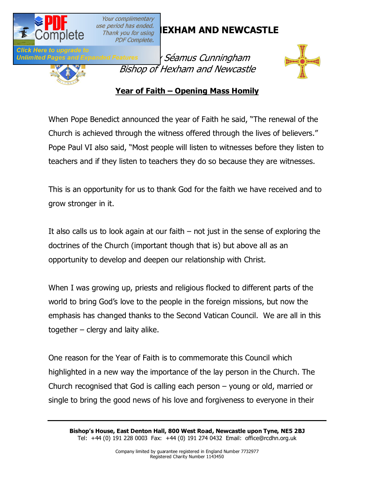

Unlimited Pages and E

Your complimentary **PDF Complete.** 

# **DISC<sup>ENGER</sup> DRIVID AND NEWCASTLE**



*' Séamus Cunningham* Bishop of Hexham and Newcastle



#### **Year of Faith – Opening Mass Homily**

When Pope Benedict announced the year of Faith he said, "The renewal of the Church is achieved through the witness offered through the lives of believers." Pope Paul VI also said, "Most people will listen to witnesses before they listen to teachers and if they listen to teachers they do so because they are witnesses.

This is an opportunity for us to thank God for the faith we have received and to grow stronger in it.

It also calls us to look again at our faith  $-$  not just in the sense of exploring the doctrines of the Church (important though that is) but above all as an opportunity to develop and deepen our relationship with Christ.

When I was growing up, priests and religious flocked to different parts of the world to bring God's love to the people in the foreign missions, but now the emphasis has changed thanks to the Second Vatican Council. We are all in this together – clergy and laity alike.

One reason for the Year of Faith is to commemorate this Council which highlighted in a new way the importance of the lay person in the Church. The Church recognised that God is calling each person – young or old, married or single to bring the good news of his love and forgiveness to everyone in their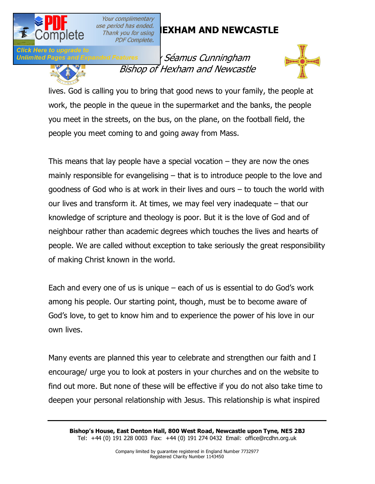

**Click Here to upgrade to** 

Your complimentary **PDF Complete.** 

# **DISC<sup>ENGER</sup> DRIVID AND NEWCASTLE**

**Unlimited Pages and Expanded Features** *' Séamus Cunningham* Bishop of Hexham and Newcastle



lives. God is calling you to bring that good news to your family, the people at work, the people in the queue in the supermarket and the banks, the people you meet in the streets, on the bus, on the plane, on the football field, the people you meet coming to and going away from Mass.

This means that lay people have a special vocation  $-$  they are now the ones mainly responsible for evangelising – that is to introduce people to the love and goodness of God who is at work in their lives and ours – to touch the world with our lives and transform it. At times, we may feel very inadequate – that our knowledge of scripture and theology is poor. But it is the love of God and of neighbour rather than academic degrees which touches the lives and hearts of people. We are called without exception to take seriously the great responsibility of making Christ known in the world.

Each and every one of us is unique – each of us is essential to do God's work among his people. Our starting point, though, must be to become aware of God's love, to get to know him and to experience the power of his love in our own lives.

Many events are planned this year to celebrate and strengthen our faith and I encourage/ urge you to look at posters in your churches and on the website to find out more. But none of these will be effective if you do not also take time to deepen your personal relationship with Jesus. This relationship is what inspired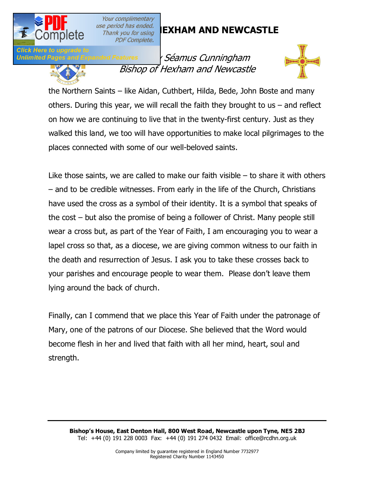

**Click Here to upgrade** 

Your complimentary **PDF Complete.** 

# **DISC<sup>ENGER</sup> DRIVID AND NEWCASTLE**

Unlimited Pages and Expanded Features *' Séamus Cunningham* Bishop of Hexham and Newcastle



the Northern Saints – like Aidan, Cuthbert, Hilda, Bede, John Boste and many others. During this year, we will recall the faith they brought to us – and reflect on how we are continuing to live that in the twenty-first century. Just as they walked this land, we too will have opportunities to make local pilgrimages to the places connected with some of our well-beloved saints.

Like those saints, we are called to make our faith visible – to share it with others – and to be credible witnesses. From early in the life of the Church, Christians have used the cross as a symbol of their identity. It is a symbol that speaks of the cost – but also the promise of being a follower of Christ. Many people still wear a cross but, as part of the Year of Faith, I am encouraging you to wear a lapel cross so that, as a diocese, we are giving common witness to our faith in the death and resurrection of Jesus. I ask you to take these crosses back to your parishes and encourage people to wear them. Please don't leave them lying around the back of church.

Finally, can I commend that we place this Year of Faith under the patronage of Mary, one of the patrons of our Diocese. She believed that the Word would become flesh in her and lived that faith with all her mind, heart, soul and strength.